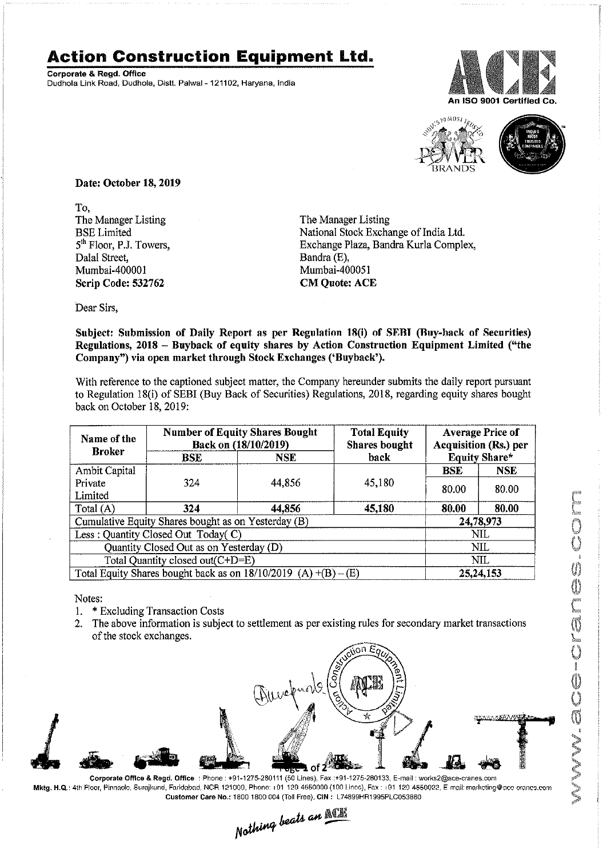## **Action Construction Equipment Ltd.**

Corporate & Regd. Office Dudhola Link Road. Dudhola, Distt. Palwal-121102, Haryana, India





Date: October 18,2019

To, The Manager Listing BSE Limited 5<sup>th</sup> Floor, P.J. Towers, Dalal Street, Mumbai-400001 Scrip Code: 532762

The Manager Listing National Stock Exchange of India Ltd. Exchange Plaza, Bandra Kurla Complex, Bandra (E), Mumbai-400051 **CM Quote: ACE** 

Dear Sirs,

Subject: Submission of Daily Report as per Regulation 18(i) of SERI (Buy-hack of Securities) Regulations, 2018 - Buyback of equity shares by Action Construction Equipment Limited ("the Company") via open market through Stock Exchanges ('Buyback').

With reference to the captioned subject matter, the Company hereunder submits the daily report pursuant to Regulation 18(i) of SEBI (Buy Back of Securities) Regulations, 2018, regarding equity shares bought back on October 18, 2019:

| Name of the                                                         | <b>Number of Equity Shares Bought</b><br>Back on (18/10/2019) |            | <b>Total Equity</b><br><b>Shares bought</b> | <b>Average Price of</b><br><b>Acquisition (Rs.) per</b> |            |  |
|---------------------------------------------------------------------|---------------------------------------------------------------|------------|---------------------------------------------|---------------------------------------------------------|------------|--|
| <b>Broker</b>                                                       | BSE                                                           | <b>NSE</b> | back                                        | <b>Equity Share*</b>                                    |            |  |
| Ambit Capital                                                       |                                                               |            |                                             | <b>BSE</b>                                              | <b>NSE</b> |  |
| Private                                                             | 324                                                           | 44,856     | 45,180                                      | 80.00                                                   | 80.00      |  |
| Limited                                                             |                                                               |            |                                             |                                                         |            |  |
| Total (A)                                                           | 324                                                           | 44.856     | 45,180                                      | 80.00                                                   | 80.00      |  |
| Cumulative Equity Shares bought as on Yesterday (B)                 |                                                               |            |                                             |                                                         | 24,78,973  |  |
| Less: Quantity Closed Out Today(C)                                  |                                                               |            |                                             | NIL                                                     |            |  |
| Quantity Closed Out as on Yesterday (D)                             |                                                               |            |                                             | NIL                                                     |            |  |
| Total Quantity closed out(C+D=E)                                    |                                                               |            |                                             |                                                         | NIL        |  |
| Total Equity Shares bought back as on $18/10/2019$ (A) $+(B) - (E)$ |                                                               |            |                                             | 25, 24, 153                                             |            |  |

Notes:

- 1. \* Excluding Transaction Costs
- 2. The above information is subject to settlement as per existing rules for secondary market transactions of the stock exchanges.



Corporate Office & Regd. Office: Phone: +91-1275-280111 (50 Lines), Fax:+91-1275-280133, E-mail: works2@ace-cranes.com Mktg. H.Q.: 4th Floor, Pinnaolo, Surajkund, Faridabad, NCR 121000, Phone: 101 120 4550000 (100 Linoc), Fax: 101 120 4550022, Email: marketing@aoc eranes.com

Customer Care No.: 1800 1800 004 (Toll Free), CIN: L74899HR1995PLC053860<br>
Mathing beats an **Mathing**